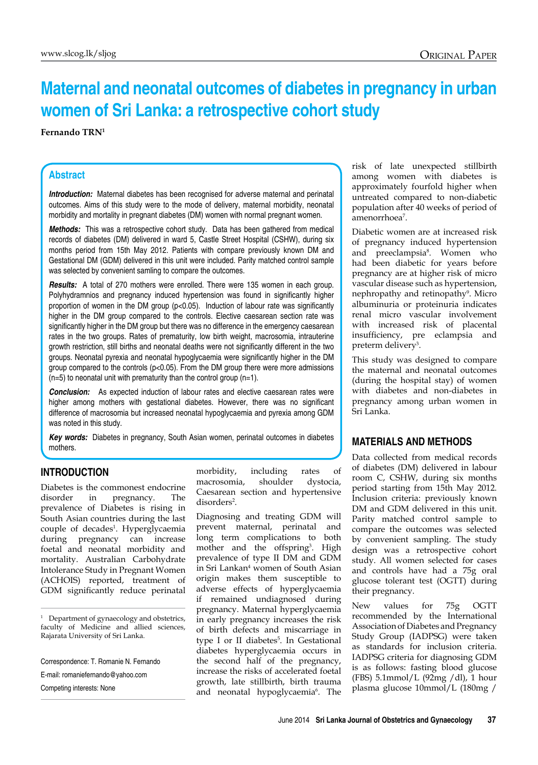# **Maternal and neonatal outcomes of diabetes in pregnancy in urban women of Sri Lanka: a retrospective cohort study**

#### **Fernando TRN1**

### **Abstract**

**Introduction:** Maternal diabetes has been recognised for adverse maternal and perinatal outcomes. Aims of this study were to the mode of delivery, maternal morbidity, neonatal morbidity and mortality in pregnant diabetes (DM) women with normal pregnant women.

*Methods:* This was a retrospective cohort study. Data has been gathered from medical records of diabetes (DM) delivered in ward 5, Castle Street Hospital (CSHW), during six months period from 15th May 2012. Patients with compare previously known DM and Gestational DM (GDM) delivered in this unit were included. Parity matched control sample was selected by convenient samling to compare the outcomes.

*Results:* A total of 270 mothers were enrolled. There were 135 women in each group. Polyhydramnios and pregnancy induced hypertension was found in significantly higher proportion of women in the DM group ( $p<0.05$ ). Induction of labour rate was significantly higher in the DM group compared to the controls. Elective caesarean section rate was significantly higher in the DM group but there was no difference in the emergency caesarean rates in the two groups. Rates of prematurity, low birth weight, macrosomia, intrauterine growth restriction, still births and neonatal deaths were not significantly different in the two groups. Neonatal pyrexia and neonatal hypoglycaemia were significantly higher in the DM group compared to the controls (p<0.05). From the DM group there were more admissions  $(n=5)$  to neonatal unit with prematurity than the control group  $(n=1)$ .

**Conclusion:** As expected induction of labour rates and elective caesarean rates were higher among mothers with gestational diabetes. However, there was no significant difference of macrosomia but increased neonatal hypoglycaemia and pyrexia among GDM was noted in this study.

*Key words:* Diabetes in pregnancy, South Asian women, perinatal outcomes in diabetes mothers.

#### **Introduction**

Diabetes is the commonest endocrine disorder in pregnancy. The prevalence of Diabetes is rising in South Asian countries during the last couple of decades<sup>1</sup>. Hyperglycaemia during pregnancy can increase foetal and neonatal morbidity and mortality. Australian Carbohydrate Intolerance Study in Pregnant Women (ACHOIS) reported, treatment of GDM significantly reduce perinatal

<sup>1</sup> Department of gynaecology and obstetrics, faculty of Medicine and allied sciences, Rajarata University of Sri Lanka.

Correspondence: T. Romanie N. Fernando

E-mail: romaniefernando@yahoo.com

Competing interests: None

morbidity, including rates of macrosomia, shoulder dystocia, Caesarean section and hypertensive disorders<sup>2</sup>.

Diagnosing and treating GDM will prevent maternal, perinatal and long term complications to both mother and the offspring<sup>3</sup>. High prevalence of type II DM and GDM in Sri Lankan4 women of South Asian origin makes them susceptible to adverse effects of hyperglycaemia if remained undiagnosed during pregnancy. Maternal hyperglycaemia in early pregnancy increases the risk of birth defects and miscarriage in type I or II diabetes<sup>5</sup>. In Gestational diabetes hyperglycaemia occurs in the second half of the pregnancy, increase the risks of accelerated foetal growth, late stillbirth, birth trauma and neonatal hypoglycaemia<sup>6</sup>. The risk of late unexpected stillbirth among women with diabetes is approximately fourfold higher when untreated compared to non-diabetic population after 40 weeks of period of amenorrhoea7 .

Diabetic women are at increased risk of pregnancy induced hypertension and preeclampsia8 . Women who had been diabetic for years before pregnancy are at higher risk of micro vascular disease such as hypertension, nephropathy and retinopathy<sup>9</sup>. Micro albuminuria or proteinuria indicates renal micro vascular involvement with increased risk of placental insufficiency, pre eclampsia and preterm delivery<sup>3</sup> .

This study was designed to compare the maternal and neonatal outcomes (during the hospital stay) of women with diabetes and non-diabetes in pregnancy among urban women in Sri Lanka.

# **Materials and Methods**

Data collected from medical records of diabetes (DM) delivered in labour room C, CSHW, during six months period starting from 15th May 2012. Inclusion criteria: previously known DM and GDM delivered in this unit. Parity matched control sample to compare the outcomes was selected by convenient sampling. The study design was a retrospective cohort study. All women selected for cases and controls have had a 75g oral glucose tolerant test (OGTT) during their pregnancy.

New values for 75g OGTT recommended by the International Association of Diabetes and Pregnancy Study Group (IADPSG) were taken as standards for inclusion criteria. IADPSG criteria for diagnosing GDM is as follows: fasting blood glucose (FBS) 5.1mmol/L (92mg /dl), 1 hour plasma glucose 10mmol/L (180mg /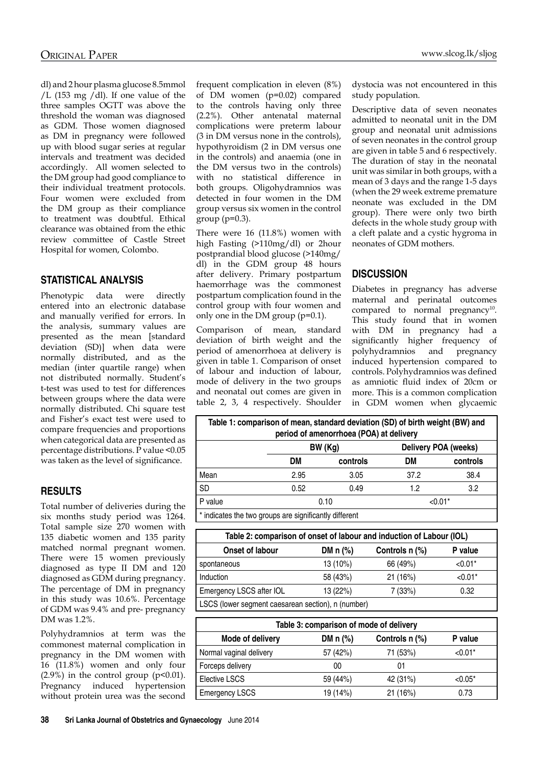dl) and 2 hour plasma glucose 8.5mmol /L (153 mg /dl). If one value of the three samples OGTT was above the threshold the woman was diagnosed as GDM. Those women diagnosed as DM in pregnancy were followed up with blood sugar series at regular intervals and treatment was decided accordingly. All women selected to the DM group had good compliance to their individual treatment protocols. Four women were excluded from the DM group as their compliance to treatment was doubtful. Ethical clearance was obtained from the ethic review committee of Castle Street Hospital for women, Colombo.

## **Statistical analysis**

Phenotypic data were directly entered into an electronic database and manually verified for errors. In the analysis, summary values are presented as the mean [standard deviation (SD)] when data were normally distributed, and as the median (inter quartile range) when not distributed normally. Student's t-test was used to test for differences between groups where the data were normally distributed. Chi square test and Fisher's exact test were used to compare frequencies and proportions when categorical data are presented as percentage distributions. P value <0.05 was taken as the level of significance.

## **Results**

Total number of deliveries during the six months study period was 1264. Total sample size 270 women with 135 diabetic women and 135 parity matched normal pregnant women. There were 15 women previously diagnosed as type II DM and 120 diagnosed as GDM during pregnancy. The percentage of DM in pregnancy in this study was 10.6%. Percentage of GDM was 9.4% and pre- pregnancy DM was 1.2%.

Polyhydramnios at term was the commonest maternal complication in pregnancy in the DM women with 16 (11.8%) women and only four  $(2.9\%)$  in the control group  $(p<0.01)$ . Pregnancy induced hypertension without protein urea was the second frequent complication in eleven (8%) of DM women (p=0.02) compared to the controls having only three (2.2%). Other antenatal maternal complications were preterm labour (3 in DM versus none in the controls), hypothyroidism (2 in DM versus one in the controls) and anaemia (one in the DM versus two in the controls) with no statistical difference in both groups. Oligohydramnios was detected in four women in the DM group versus six women in the control group  $(p=0.3)$ .

There were 16 (11.8%) women with high Fasting (>110mg/dl) or 2hour postprandial blood glucose (>140mg/ dl) in the GDM group 48 hours after delivery. Primary postpartum haemorrhage was the commonest postpartum complication found in the control group with four women and only one in the DM group  $(p=0.1)$ .

Comparison of mean, standard deviation of birth weight and the period of amenorrhoea at delivery is given in table 1. Comparison of onset of labour and induction of labour, mode of delivery in the two groups and neonatal out comes are given in table 2, 3, 4 respectively. Shoulder dystocia was not encountered in this study population.

Descriptive data of seven neonates admitted to neonatal unit in the DM group and neonatal unit admissions of seven neonates in the control group are given in table 5 and 6 respectively. The duration of stay in the neonatal unit was similar in both groups, with a mean of 3 days and the range 1-5 days (when the 29 week extreme premature neonate was excluded in the DM group). There were only two birth defects in the whole study group with a cleft palate and a cystic hygroma in neonates of GDM mothers.

# **Discussion**

Diabetes in pregnancy has adverse maternal and perinatal outcomes compared to normal pregnancy<sup>10</sup>. This study found that in women with DM in pregnancy had a significantly higher frequency of polyhydramnios and pregnancy induced hypertension compared to controls. Polyhydramnios was defined as amniotic fluid index of 20cm or more. This is a common complication in GDM women when glycaemic

| Table 1: comparison of mean, standard deviation (SD) of birth weight (BW) and<br>period of amenorrhoea (POA) at delivery |        |          |                      |           |
|--------------------------------------------------------------------------------------------------------------------------|--------|----------|----------------------|-----------|
|                                                                                                                          | BW(Kg) |          | Delivery POA (weeks) |           |
|                                                                                                                          | DM     | controls | DM                   | controls  |
| Mean                                                                                                                     | 2.95   | 3.05     | 37.2                 | 38.4      |
| <b>SD</b>                                                                                                                | 0.52   | 0.49     | 1.2                  | 3.2       |
| P value                                                                                                                  | 0.10   |          |                      | $< 0.01*$ |
| .                                                                                                                        |        |          |                      |           |

\* indicates the two groups are significantly different

| Table 2: comparison of onset of labour and induction of Labour (IOL) |            |                |           |
|----------------------------------------------------------------------|------------|----------------|-----------|
| Onset of labour                                                      | DM $n$ (%) | Controls n (%) | P value   |
| spontaneous                                                          | 13 (10%)   | 66 (49%)       | $< 0.01*$ |
| <b>Induction</b>                                                     | 58 (43%)   | 21(16%)        | $< 0.01*$ |
| Emergency LSCS after IOL<br>13 (22%)<br>0.32<br>7(33%)               |            |                |           |
| LSCS (lower segment caesarean section), n (number)                   |            |                |           |

| Table 3: comparison of mode of delivery |            |                |           |
|-----------------------------------------|------------|----------------|-----------|
| Mode of delivery                        | DM $n$ (%) | Controls n (%) | P value   |
| Normal vaginal delivery                 | 57 (42%)   | 71 (53%)       | $< 0.01*$ |
| Forceps delivery                        | 00         | 01             |           |
| Elective LSCS                           | 59 (44%)   | 42 (31%)       | $< 0.05*$ |
| Emergency LSCS                          | 19 (14%)   | 21(16%)        | 0.73      |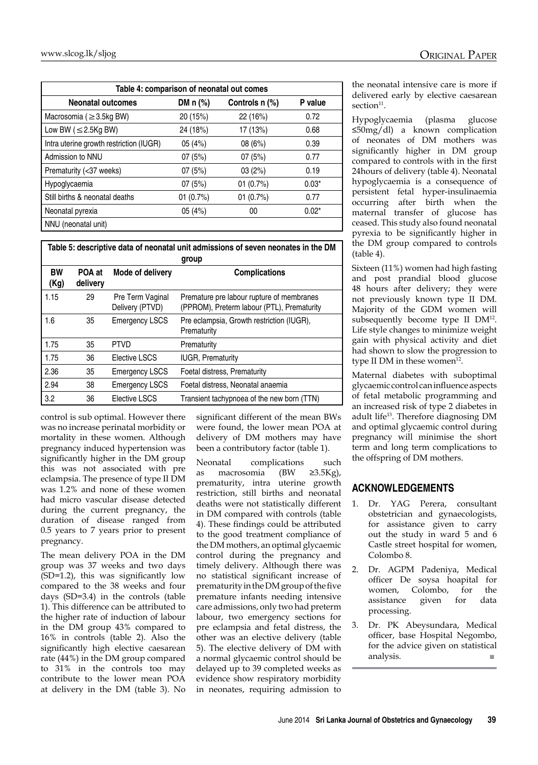| Table 4: comparison of neonatal out comes |             |                |         |
|-------------------------------------------|-------------|----------------|---------|
| <b>Neonatal outcomes</b>                  | DM $n$ (%)  | Controls n (%) | P value |
| Macrosomia ( $\geq$ 3.5kg BW)             | 20 (15%)    | 22 (16%)       | 0.72    |
| Low BW ( $\leq$ 2.5Kg BW)                 | 24 (18%)    | 17 (13%)       | 0.68    |
| Intra uterine growth restriction (IUGR)   | 05(4%)      | 08 (6%)        | 0.39    |
| Admission to NNU                          | 07(5%)      | 07(5%)         | 0.77    |
| Prematurity (<37 weeks)                   | 07(5%)      | 03(2%)         | 0.19    |
| Hypoglycaemia                             | 07(5%)      | 01 $(0.7%)$    | $0.03*$ |
| Still births & neonatal deaths            | 01 $(0.7%)$ | 01 $(0.7%)$    | 0.77    |
| Neonatal pyrexia                          | 05 (4%)     | 00             | $0.02*$ |
| NNU (neonatal unit)                       |             |                |         |

| Table 5: descriptive data of neonatal unit admissions of seven neonates in the DM<br>group |                    |                                     |                                                                                         |
|--------------------------------------------------------------------------------------------|--------------------|-------------------------------------|-----------------------------------------------------------------------------------------|
| <b>BW</b><br>(Kg)                                                                          | POA at<br>delivery | Mode of delivery                    | <b>Complications</b>                                                                    |
| 1.15                                                                                       | 29                 | Pre Term Vaginal<br>Delivery (PTVD) | Premature pre labour rupture of membranes<br>(PPROM), Preterm labour (PTL), Prematurity |
| 1.6                                                                                        | 35                 | <b>Emergency LSCS</b>               | Pre eclampsia, Growth restriction (IUGR),<br>Prematurity                                |
| 1.75                                                                                       | 35                 | <b>PTVD</b>                         | Prematurity                                                                             |
| 1.75                                                                                       | 36                 | Elective LSCS                       | <b>IUGR, Prematurity</b>                                                                |
| 2.36                                                                                       | 35                 | <b>Emergency LSCS</b>               | Foetal distress, Prematurity                                                            |
| 2.94                                                                                       | 38                 | <b>Emergency LSCS</b>               | Foetal distress, Neonatal anaemia                                                       |
| 3.2                                                                                        | 36                 | Elective LSCS                       | Transient tachypnoea of the new born (TTN)                                              |

control is sub optimal. However there was no increase perinatal morbidity or mortality in these women. Although pregnancy induced hypertension was significantly higher in the DM group this was not associated with pre eclampsia. The presence of type II DM was 1.2% and none of these women had micro vascular disease detected during the current pregnancy, the duration of disease ranged from 0.5 years to 7 years prior to present pregnancy.

The mean delivery POA in the DM group was 37 weeks and two days (SD=1.2), this was significantly low compared to the 38 weeks and four days (SD=3.4) in the controls (table 1). This difference can be attributed to the higher rate of induction of labour in the DM group 43% compared to 16% in controls (table 2). Also the significantly high elective caesarean rate (44%) in the DM group compared to 31% in the controls too may contribute to the lower mean POA at delivery in the DM (table 3). No significant different of the mean BWs were found, the lower mean POA at delivery of DM mothers may have been a contributory factor (table 1).

Neonatal complications such as macrosomia (BW ≥3.5Kg), prematurity, intra uterine growth restriction, still births and neonatal deaths were not statistically different in DM compared with controls (table 4). These findings could be attributed to the good treatment compliance of the DM mothers, an optimal glycaemic control during the pregnancy and timely delivery. Although there was no statistical significant increase of prematurity in the DM group of the five premature infants needing intensive care admissions, only two had preterm labour, two emergency sections for pre eclampsia and fetal distress, the other was an elective delivery (table 5). The elective delivery of DM with a normal glycaemic control should be delayed up to 39 completed weeks as evidence show respiratory morbidity in neonates, requiring admission to

the neonatal intensive care is more if delivered early by elective caesarean section<sup>11</sup>.

Hypoglycaemia (plasma glucose ≤50mg/dl) a known complication of neonates of DM mothers was significantly higher in DM group compared to controls with in the first 24hours of delivery (table 4). Neonatal hypoglycaemia is a consequence of persistent fetal hyper-insulinaemia occurring after birth when the maternal transfer of glucose has ceased. This study also found neonatal pyrexia to be significantly higher in the DM group compared to controls (table 4).

Sixteen (11%) women had high fasting and post prandial blood glucose 48 hours after delivery; they were not previously known type II DM. Majority of the GDM women will subsequently become type II DM12. Life style changes to minimize weight gain with physical activity and diet had shown to slow the progression to type II DM in these women $12$ .

Maternal diabetes with suboptimal glycaemic control can influence aspects of fetal metabolic programming and an increased risk of type 2 diabetes in adult life<sup>13</sup>. Therefore diagnosing DM and optimal glycaemic control during pregnancy will minimise the short term and long term complications to the offspring of DM mothers.

# **Acknowledgements**

- 1. Dr. YAG Perera, consultant obstetrician and gynaecologists, for assistance given to carry out the study in ward 5 and 6 Castle street hospital for women, Colombo 8.
- 2. Dr. AGPM Padeniya, Medical officer De soysa hoapital for women, Colombo, for the assistance given for data processing.
- 3. Dr. PK Abeysundara, Medical officer, base Hospital Negombo, for the advice given on statistical analysis. ■